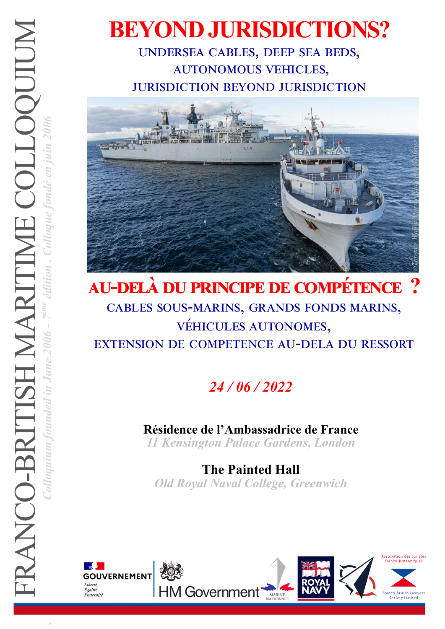# **BEYOND JURISDICTIONS?** undersea cables, deep sea beds,

autonomous vehicles, jurisdiction beyond jurisdiction



## **au-delà du principe de compétence ?**  cables sous-marins, grands fonds marins, véhicules autonomes, extension de competence au-dela du ressort

## *24 / 06 / 2022*

### **Résidence de l'Ambassadrice de France**

*11 Kensington Palace Gardens, London* 

**The Painted Hall** *Old Royal Naval College, Greenwich*

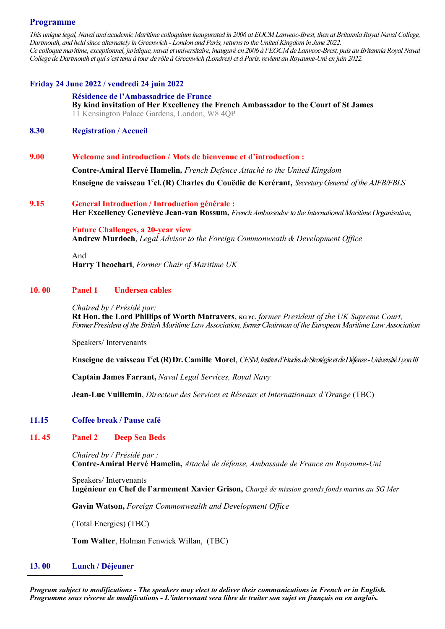#### **Programme**

*This unique legal, Naval and academic Maritime colloquium inaugurated in 2006 at EOCM Lanveoc-Brest, then at Britannia Royal Naval College, Dartmouth, and held since alternately in Greenwich - London and Paris, returns to the United Kingdom in June 2022. Ce colloque maritime, exceptionnel, juridique, naval et universitaire, inauguré en 2006 à l'EOCM de Lanveoc-Brest, puis au Britannia Royal Naval College de Dartmouth et qui s'est tenu à tour de rôle à Greenwich (Londres) et à Paris, revient au Royaume-Uni en juin 2022.*

#### **Friday 24 June 2022 / vendredi 24 juin 2022**

#### **Résidence de l'Ambassadrice de France**

**By kind invitation of Her Excellency the French Ambassador to the Court of St James** 11 Kensington Palace Gardens, London, W8 4QP

#### **8.30 Registration / Accueil**

**9.00 Welcome and introduction / Mots de bienvenue et d'introduction :**

**Contre-Amiral Hervé Hamelin***, French Defence Attaché to the United Kingdom* **Enseigne de vaisseau 1<sup>e</sup> cl. (R) Charles du Couëdic de Kerérant,** *Secretary General of the AJFB/FBLS*

**9.15 General Introduction / Introduction générale : Her Excellency Geneviève Jean-van Rossum,** *French Ambassador to the International Maritime Organisation,* 

> **Future Challenges, a 20-year view Andrew Murdoch**, *Legal Advisor to the Foreign Commonweath & Development Office*

And **Harry Theochari**, *Former Chair of Maritime UK* 

#### **10. 00 Panel 1 Undersea cables**

*Chaired by / Présidé par:*  **Rt Hon. the Lord Phillips of Worth Matravers**, **KG PC,** *former President of the UK Supreme Court, Former President of the British Maritime Law Association, former Chairman of the European Maritime Law Association* 

Speakers/ Intervenants

**Enseigne de vaisseau 1 e cl. (R) Dr. Camille Morel**, *CESM, Institut d'Etudes de Stratégie et de Défense -Université Lyon III* 

**Captain James Farrant,** *Naval Legal Services, Royal Navy*

**Jean-Luc Vuillemin**, *Directeur des Services et Réseaux et Internationaux d'Orange* (TBC)

#### **11.15 Coffee break / Pause café**

#### **11. 45 Panel 2 Deep Sea Beds**

*Chaired by / Présidé par :*  **Contre-Amiral Hervé Hamelin,** *Attaché de défense, Ambassade de France au Royaume-Uni*

Speakers/ Intervenants **Ingénieur en Chef de l'armement Xavier Grison,** *Chargé de mission grands fonds marins au SG Mer*

**Gavin Watson,** *Foreign Commonwealth and Development Office* 

(Total Energies) (TBC)

**Tom Walter**, Holman Fenwick Willan, (TBC)

#### **13. 00 Lunch / Déjeuner**

*Program subject to modifications - The speakers may elect to deliver their communications in French or in English. Programme sous réserve de modifications - L'intervenant sera libre de traiter son sujet en français ou en anglais.*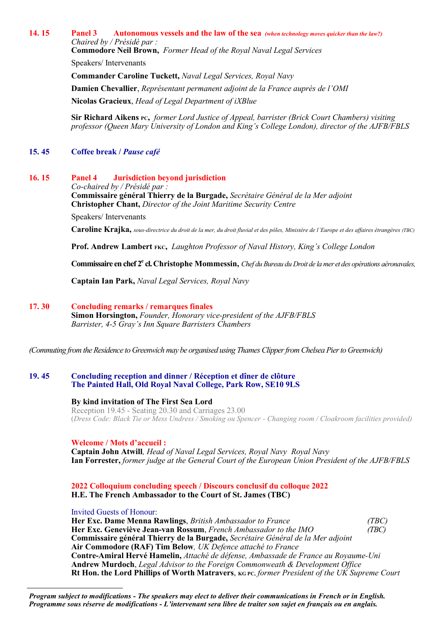#### **14. 15 Panel 3 Autonomous vessels and the law of the sea** *(when technology moves quicker than the law?) Chaired by / Présidé par :*

**Commodore Neil Brown,** *Former Head of the Royal Naval Legal Services*

Speakers/ Intervenants

**Commander Caroline Tuckett,** *Naval Legal Services, Royal Navy*

**Damien Chevallier**, *Représentant permanent adjoint de la France auprès de l'OMI*

**Nicolas Gracieux**, *Head of Legal Department of iXBlue*

**Sir Richard Aikens PC,** *former Lord Justice of Appeal, barrister (Brick Court Chambers) visiting professor (Queen Mary University of London and King's College London), director of the AJFB/FBLS*

#### **15. 45 Coffee break /** *Pause café*

#### **16. 15 Panel 4 Jurisdiction beyond jurisdiction**

*Co-chaired by / Présidé par :*  **Commissaire général Thierry de la Burgade,** *Secrétaire Général de la Mer adjoint*  **Christopher Chant,** *Director of the Joint Maritime Security Centre*

Speakers/ Intervenants

**Caroline Krajka,** *sous-directrice du droit de la mer, du droit fluvial et des pôles, Ministère de l'Europe et des affaires étrangères (TBC)*

**Prof. Andrew Lambert FKC,** *Laughton Professor of Naval History, King's College London*

**Commissaire en chef 2<sup>e</sup> cl. Christophe Mommessin,** *Chef du Bureau du Droit de la mer et des opérations aéronavales,*

**Captain Ian Park,** *Naval Legal Services, Royal Navy*

#### **17. 30 Concluding remarks / remarques finales**

**Simon Horsington,** *Founder, Honorary vice-president of the AJFB/FBLS Barrister, 4-5 Gray's Inn Square Barristers Chambers*

*(Commuting from the Residence to Greenwich may be organised using Thames Clipper from Chelsea Pier to Greenwich)*

#### **19. 45 Concluding reception and dinner / Réception et dîner de clôture The Painted Hall, Old Royal Naval College, Park Row, SE10 9LS**

#### **By kind invitation of The First Sea Lord**

Reception 19.45 - Seating 20.30 and Carriages 23.00 (*Dress Code: Black Tie or Mess Undress / Smoking ou Spencer - Changing room / Cloakroom facilities provided)*

#### **Welcome / Mots d'accueil :**

**Captain John Atwill***, Head of Naval Legal Services, Royal Navy Royal Navy* **Ian Forrester,** *former judge at the General Court of the European Union President of the AJFB/FBLS* 

#### **2022 Colloquium concluding speech / Discours conclusif du colloque 2022 H.E. The French Ambassador to the Court of St. James (TBC)**

Invited Guests of Honour:

**Her Exc. Dame Menna Rawlings**, *British Ambassador to France (TBC)* **Her Exc. Geneviève Jean-van Rossum**, *French Ambassador to the IMO (TBC)* **Commissaire général Thierry de la Burgade,** *Secrétaire Général de la Mer adjoint*  **Air Commodore (RAF) Tim Below***, UK Defence attaché to France* **Contre-Amiral Hervé Hamelin,** *Attaché de défense, Ambassade de France au Royaume-Uni* **Andrew Murdoch**, *Legal Advisor to the Foreign Commonweath & Development Office*  **Rt Hon. the Lord Phillips of Worth Matravers**, **KG PC,** *former President of the UK Supreme Court* 

*Program subject to modifications - The speakers may elect to deliver their communications in French or in English. Programme sous réserve de modifications - L'intervenant sera libre de traiter son sujet en français ou en anglais.*